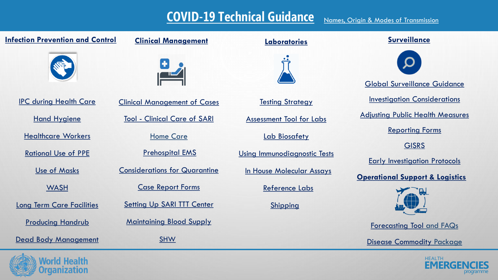## **[COVID-19 Technical Guidance](https://www.dropbox.com/sh/zx5fm4j4pw5vpi5/AAAGndVQTJFBo0XodRphtQrRa?dl=0)**

| <b>Infection Prevention and Control</b> | <b>Clinical Management</b>           | <b>Laboratories</b>             | <b>Surveillance</b>                        |  |
|-----------------------------------------|--------------------------------------|---------------------------------|--------------------------------------------|--|
|                                         |                                      |                                 |                                            |  |
|                                         |                                      |                                 | <b>Global Surveillance Guidance</b>        |  |
| <b>IPC during Health Care</b>           | <b>Clinical Management of Cases</b>  | <b>Testing Strategy</b>         | <b>Investigation Considerations</b>        |  |
| <b>Hand Hygiene</b>                     | <b>Tool - Clinical Care of SARI</b>  | <b>Assessment Tool for Labs</b> | <b>Adjusting Public Health Measures</b>    |  |
| <b>Healthcare Workers</b>               | <b>Home Care</b>                     | Lab Biosafety                   | <b>Reporting Forms</b>                     |  |
| <b>Rational Use of PPE</b>              | <b>Prehospital EMS</b>               | Using Immunodiagnostic Tests    | <b>GISRS</b>                               |  |
| <b>Use of Masks</b>                     | <b>Considerations for Quarantine</b> | In House Molecular Assays       | <b>Early Investigation Protocols</b>       |  |
| <b>WASH</b>                             | <b>Case Report Forms</b>             | <b>Reference Labs</b>           | <b>Operational Support &amp; Logistics</b> |  |
|                                         | <b>Setting Up SARI TTT Center</b>    |                                 |                                            |  |
| <b>Long Term Care Facilities</b>        |                                      | Shipping                        |                                            |  |
| <b>Producing Handrub</b>                | <b>Maintaining Blood Supply</b>      |                                 | <b>Forecasting Tool and FAQs</b>           |  |
| <b>Dead Body Management</b>             | <b>SHW</b>                           |                                 | <b>Disease Commodity Package</b>           |  |